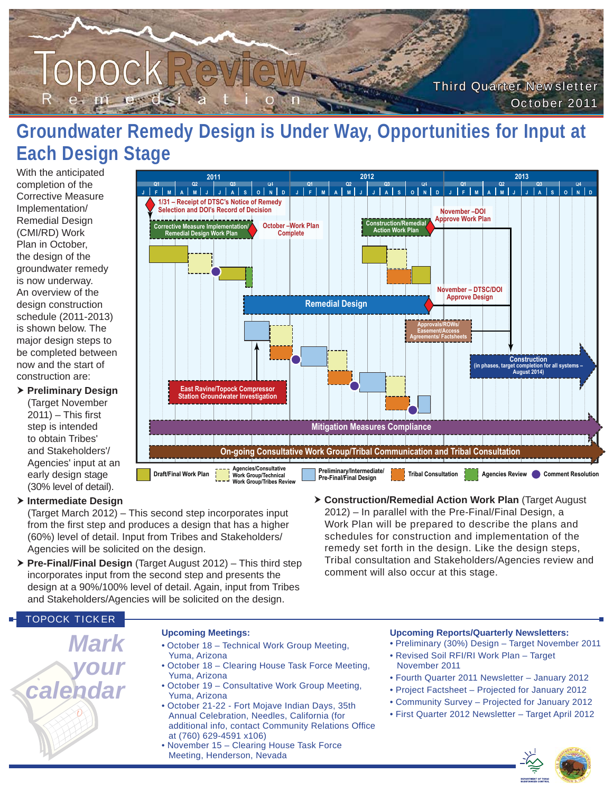

# **Groundwater Remedy Design is Under Way, Opportunities for Input at Each Design Stage**

With the anticipated completion of the Corrective Measure Implementation/ Remedial Design (CMI/RD) Work Plan in October, the design of the groundwater remedy is now underway. An overview of the design construction schedule (2011-2013) is shown below. The major design steps to be completed between now and the start of construction are:

 **Preliminary Design** (Target November  $2011$ ) – This first step is intended to obtain Tribes' and Stakeholders'/ Agencies' input at an early design stage (30% level of detail).



#### **Intermediate Design**

(Target March 2012) – This second step incorporates input from the first step and produces a design that has a higher (60%) level of detail. Input from Tribes and Stakeholders/ Agencies will be solicited on the design.

- **Pre-Final/Final Design** (Target August 2012) This third step incorporates input from the second step and presents the design at a 90%/100% level of detail. Again, input from Tribes and Stakeholders/Agencies will be solicited on the design.
- schedules for construction and implementation of the remedy set forth in the design. Like the design steps, Tribal consultation and Stakeholders/Agencies review and comment will also occur at this stage.

#### TOPOCK TICKER

*Mark your calendar*

#### **Upcoming Meetings:**

- October 18 Technical Work Group Meeting, Yuma, Arizona
- October 18 Clearing House Task Force Meeting, Yuma, Arizona
- October 19 Consultative Work Group Meeting, Yuma, Arizona
- October 21-22 Fort Mojave Indian Days, 35th Annual Celebration, Needles, California (for additional info, contact Community Relations Office at (760) 629-4591 x106)
- November 15 Clearing House Task Force Meeting, Henderson, Nevada

#### **Upcoming Reports/Quarterly Newsletters:**

2012) – In parallel with the Pre-Final/Final Design, a Work Plan will be prepared to describe the plans and

- Preliminary (30%) Design Target November 2011 • Revised Soil RFI/RI Work Plan – Target November 2011
- Fourth Quarter 2011 Newsletter January 2012
- Project Factsheet Projected for January 2012
- Community Survey Projected for January 2012
- First Quarter 2012 Newsletter Target April 2012